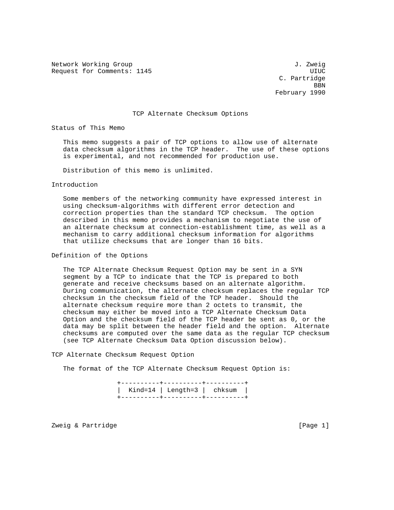Network Working Group 3. The Second Second Second Second Second J. Zweig Request for Comments: 1145 and the comments of the comments of the comments of the comments of the comments of the comments of the comments of the comments of the comments of the comments of the comments of the comments of

 C. Partridge **BBN** February 1990

## TCP Alternate Checksum Options

Status of This Memo

 This memo suggests a pair of TCP options to allow use of alternate data checksum algorithms in the TCP header. The use of these options is experimental, and not recommended for production use.

Distribution of this memo is unlimited.

Introduction

 Some members of the networking community have expressed interest in using checksum-algorithms with different error detection and correction properties than the standard TCP checksum. The option described in this memo provides a mechanism to negotiate the use of an alternate checksum at connection-establishment time, as well as a mechanism to carry additional checksum information for algorithms that utilize checksums that are longer than 16 bits.

Definition of the Options

 The TCP Alternate Checksum Request Option may be sent in a SYN segment by a TCP to indicate that the TCP is prepared to both generate and receive checksums based on an alternate algorithm. During communication, the alternate checksum replaces the regular TCP checksum in the checksum field of the TCP header. Should the alternate checksum require more than 2 octets to transmit, the checksum may either be moved into a TCP Alternate Checksum Data Option and the checksum field of the TCP header be sent as 0, or the data may be split between the header field and the option. Alternate checksums are computed over the same data as the regular TCP checksum (see TCP Alternate Checksum Data Option discussion below).

TCP Alternate Checksum Request Option

The format of the TCP Alternate Checksum Request Option is:

 +----------+----------+----------+ | Kind=14 | Length=3 | chksum | +----------+----------+----------+

Zweig & Partridge **Example 20** and 20 and 20 and 20 and 20 and 20 and 20 and 20 and 20 and 20 and 20 and 20 and 20 and 20 and 20 and 20 and 20 and 20 and 20 and 20 and 20 and 20 and 20 and 20 and 20 and 20 and 20 and 20 an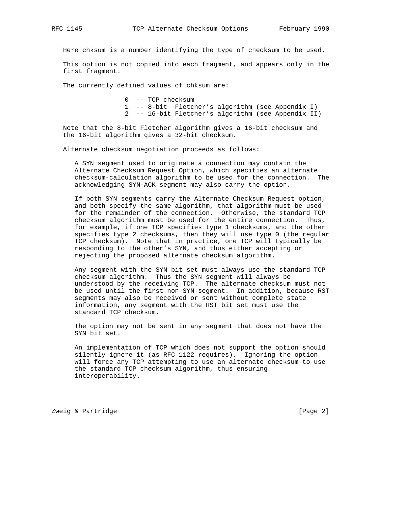Here chksum is a number identifying the type of checksum to be used.

 This option is not copied into each fragment, and appears only in the first fragment.

The currently defined values of chksum are:

 0 -- TCP checksum 1 -- 8-bit Fletcher's algorithm (see Appendix I) 2 -- 16-bit Fletcher's algorithm (see Appendix II)

 Note that the 8-bit Fletcher algorithm gives a 16-bit checksum and the 16-bit algorithm gives a 32-bit checksum.

Alternate checksum negotiation proceeds as follows:

 A SYN segment used to originate a connection may contain the Alternate Checksum Request Option, which specifies an alternate checksum-calculation algorithm to be used for the connection. The acknowledging SYN-ACK segment may also carry the option.

 If both SYN segments carry the Alternate Checksum Request option, and both specify the same algorithm, that algorithm must be used for the remainder of the connection. Otherwise, the standard TCP checksum algorithm must be used for the entire connection. Thus, for example, if one TCP specifies type 1 checksums, and the other specifies type 2 checksums, then they will use type 0 (the regular TCP checksum). Note that in practice, one TCP will typically be responding to the other's SYN, and thus either accepting or rejecting the proposed alternate checksum algorithm.

 Any segment with the SYN bit set must always use the standard TCP checksum algorithm. Thus the SYN segment will always be understood by the receiving TCP. The alternate checksum must not be used until the first non-SYN segment. In addition, because RST segments may also be received or sent without complete state information, any segment with the RST bit set must use the standard TCP checksum.

 The option may not be sent in any segment that does not have the SYN bit set.

 An implementation of TCP which does not support the option should silently ignore it (as RFC 1122 requires). Ignoring the option will force any TCP attempting to use an alternate checksum to use the standard TCP checksum algorithm, thus ensuring interoperability.

Zweig & Partridge [Page 2]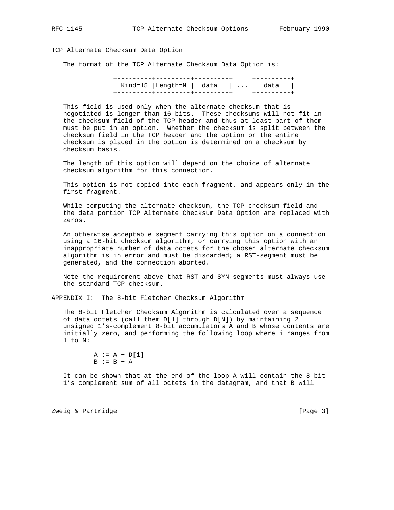## TCP Alternate Checksum Data Option

The format of the TCP Alternate Checksum Data Option is:

| Kind=15   Length=N   data      data |  |  |
|-------------------------------------|--|--|
|                                     |  |  |

 This field is used only when the alternate checksum that is negotiated is longer than 16 bits. These checksums will not fit in the checksum field of the TCP header and thus at least part of them must be put in an option. Whether the checksum is split between the checksum field in the TCP header and the option or the entire checksum is placed in the option is determined on a checksum by checksum basis.

 The length of this option will depend on the choice of alternate checksum algorithm for this connection.

 This option is not copied into each fragment, and appears only in the first fragment.

 While computing the alternate checksum, the TCP checksum field and the data portion TCP Alternate Checksum Data Option are replaced with zeros.

 An otherwise acceptable segment carrying this option on a connection using a 16-bit checksum algorithm, or carrying this option with an inappropriate number of data octets for the chosen alternate checksum algorithm is in error and must be discarded; a RST-segment must be generated, and the connection aborted.

 Note the requirement above that RST and SYN segments must always use the standard TCP checksum.

APPENDIX I: The 8-bit Fletcher Checksum Algorithm

 The 8-bit Fletcher Checksum Algorithm is calculated over a sequence of data octets (call them D[1] through D[N]) by maintaining 2 unsigned 1's-complement 8-bit accumulators A and B whose contents are initially zero, and performing the following loop where i ranges from 1 to N:

$$
A := A + D[i]
$$
  

$$
B := B + A
$$

 It can be shown that at the end of the loop A will contain the 8-bit 1's complement sum of all octets in the datagram, and that B will

Zweig & Partridge **Example 20** 2012 12:00 12:00 12:00 12:00 12:00 12:00 12:00 12:00 12:00 12:00 12:00 12:00 12:0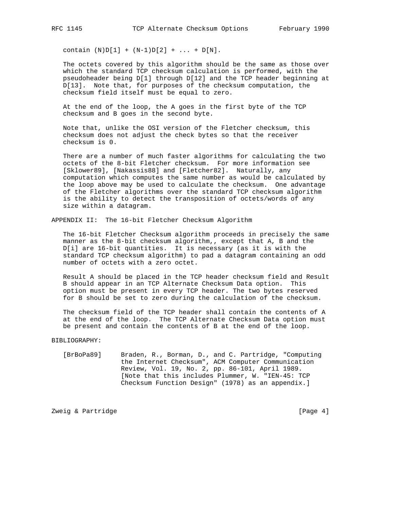contain  $(N)D[1] + (N-1)D[2] + ... + D[N].$ 

 The octets covered by this algorithm should be the same as those over which the standard TCP checksum calculation is performed, with the pseudoheader being D[1] through D[12] and the TCP header beginning at D[13]. Note that, for purposes of the checksum computation, the checksum field itself must be equal to zero.

 At the end of the loop, the A goes in the first byte of the TCP checksum and B goes in the second byte.

 Note that, unlike the OSI version of the Fletcher checksum, this checksum does not adjust the check bytes so that the receiver checksum is 0.

 There are a number of much faster algorithms for calculating the two octets of the 8-bit Fletcher checksum. For more information see [Sklower89], [Nakassis88] and [Fletcher82]. Naturally, any computation which computes the same number as would be calculated by the loop above may be used to calculate the checksum. One advantage of the Fletcher algorithms over the standard TCP checksum algorithm is the ability to detect the transposition of octets/words of any size within a datagram.

APPENDIX II: The 16-bit Fletcher Checksum Algorithm

 The 16-bit Fletcher Checksum algorithm proceeds in precisely the same manner as the 8-bit checksum algorithm,, except that A, B and the D[i] are 16-bit quantities. It is necessary (as it is with the standard TCP checksum algorithm) to pad a datagram containing an odd number of octets with a zero octet.

 Result A should be placed in the TCP header checksum field and Result B should appear in an TCP Alternate Checksum Data option. This option must be present in every TCP header. The two bytes reserved for B should be set to zero during the calculation of the checksum.

 The checksum field of the TCP header shall contain the contents of A at the end of the loop. The TCP Alternate Checksum Data option must be present and contain the contents of B at the end of the loop.

## BIBLIOGRAPHY:

 [BrBoPa89] Braden, R., Borman, D., and C. Partridge, "Computing the Internet Checksum", ACM Computer Communication Review, Vol. 19, No. 2, pp. 86-101, April 1989. [Note that this includes Plummer, W. "IEN-45: TCP Checksum Function Design" (1978) as an appendix.]

Zweig & Partridge **Example 2018** [Page 4]